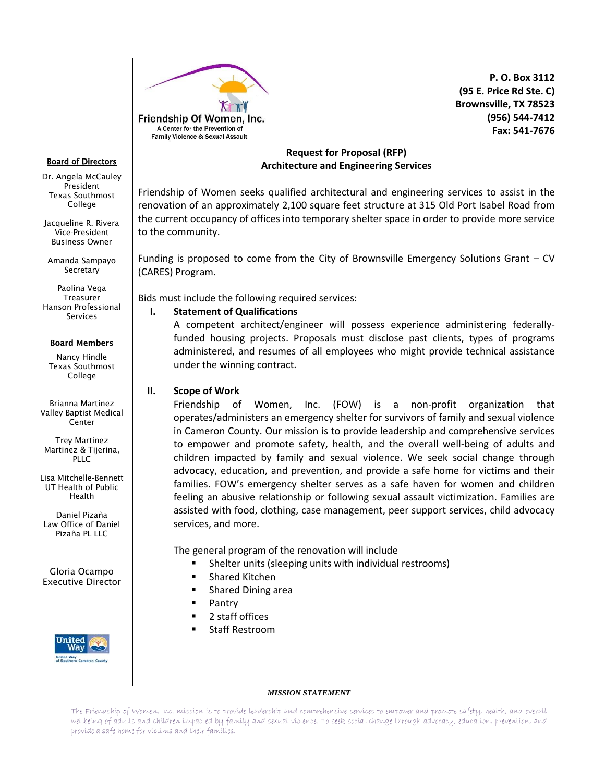

 **P. O. Box 3112 (95 E. Price Rd Ste. C) Brownsville, TX 78523 (956) 544-7412 Fax: 541-7676**

#### Board of Directors

Dr. Angela McCauley President Texas Southmost College

Jacqueline R. Rivera Vice-President Business Owner

Amanda Sampayo Secretary

Paolina Vega **Treasurer** Hanson Professional Services

#### **Board Members**

Nancy Hindle Texas Southmost College

Brianna Martinez Valley Baptist Medical Center

Trey Martinez Martinez & Tijerina, PLLC

Lisa Mitchelle-Bennett UT Health of Public Health

Daniel Pizaña Law Office of Daniel Pizaña PL LLC

Gloria Ocampo Executive Director



# **Request for Proposal (RFP) Architecture and Engineering Services**

Friendship of Women seeks qualified architectural and engineering services to assist in the renovation of an approximately 2,100 square feet structure at 315 Old Port Isabel Road from the current occupancy of offices into temporary shelter space in order to provide more service to the community.

Funding is proposed to come from the City of Brownsville Emergency Solutions Grant – CV (CARES) Program.

Bids must include the following required services:

## **I. Statement of Qualifications**

A competent architect/engineer will possess experience administering federallyfunded housing projects. Proposals must disclose past clients, types of programs administered, and resumes of all employees who might provide technical assistance under the winning contract.

# **II. Scope of Work**

Friendship of Women, Inc. (FOW) is a non-profit organization that operates/administers an emergency shelter for survivors of family and sexual violence in Cameron County. Our mission is to provide leadership and comprehensive services to empower and promote safety, health, and the overall well-being of adults and children impacted by family and sexual violence. We seek social change through advocacy, education, and prevention, and provide a safe home for victims and their families. FOW's emergency shelter serves as a safe haven for women and children feeling an abusive relationship or following sexual assault victimization. Families are assisted with food, clothing, case management, peer support services, child advocacy services, and more.

The general program of the renovation will include

- Shelter units (sleeping units with individual restrooms)
- **E** Shared Kitchen
- **Shared Dining area**
- **Pantry**
- 2 staff offices
- Staff Restroom

#### *MISSION STATEMENT*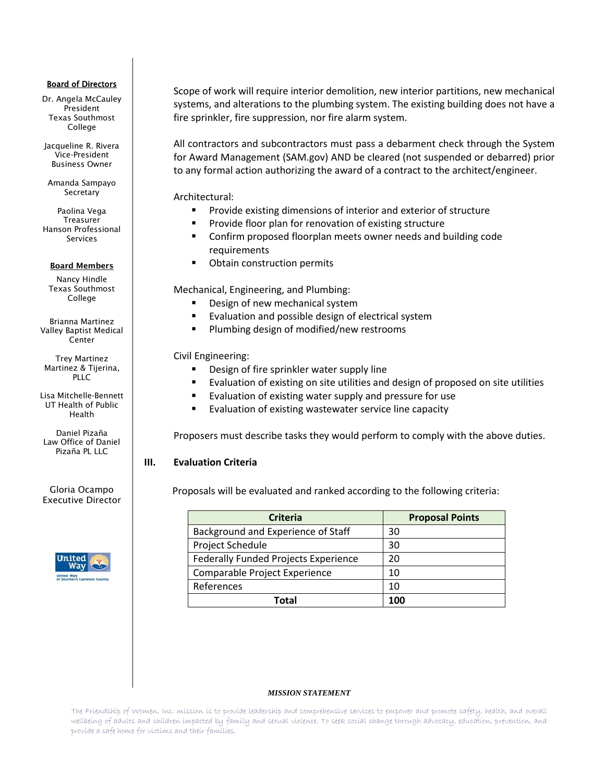### Board of Directors

Dr. Angela McCauley President Texas Southmost College

Jacqueline R. Rivera Vice-President Business Owner

Amanda Sampayo Secretary

Paolina Vega Treasurer Hanson Professional Services

### **Board Members**

Nancy Hindle Texas Southmost College

Brianna Martinez Valley Baptist Medical Center

Trey Martinez Martinez & Tijerina, PLLC

Lisa Mitchelle-Bennett UT Health of Public Health

Daniel Pizaña Law Office of Daniel Pizaña PL LLC

Gloria Ocampo Executive Director



Scope of work will require interior demolition, new interior partitions, new mechanical systems, and alterations to the plumbing system. The existing building does not have a fire sprinkler, fire suppression, nor fire alarm system.

All contractors and subcontractors must pass a debarment check through the System for Award Management (SAM.gov) AND be cleared (not suspended or debarred) prior to any formal action authorizing the award of a contract to the architect/engineer.

Architectural:

- **Provide existing dimensions of interior and exterior of structure**
- **Provide floor plan for renovation of existing structure**
- Confirm proposed floorplan meets owner needs and building code requirements
- **•** Obtain construction permits

Mechanical, Engineering, and Plumbing:

- Design of new mechanical system
- **Evaluation and possible design of electrical system**
- **Plumbing design of modified/new restrooms**

Civil Engineering:

- Design of fire sprinkler water supply line
- Evaluation of existing on site utilities and design of proposed on site utilities
- **Exaluation of existing water supply and pressure for use**
- **E** Evaluation of existing wastewater service line capacity

Proposers must describe tasks they would perform to comply with the above duties.

# **III. Evaluation Criteria**

Proposals will be evaluated and ranked according to the following criteria:

| <b>Criteria</b>                      | <b>Proposal Points</b> |
|--------------------------------------|------------------------|
| Background and Experience of Staff   | 30                     |
| Project Schedule                     | 30                     |
| Federally Funded Projects Experience | 20                     |
| Comparable Project Experience        | 10                     |
| References                           | 10                     |
| Total                                | 100                    |

### *MISSION STATEMENT*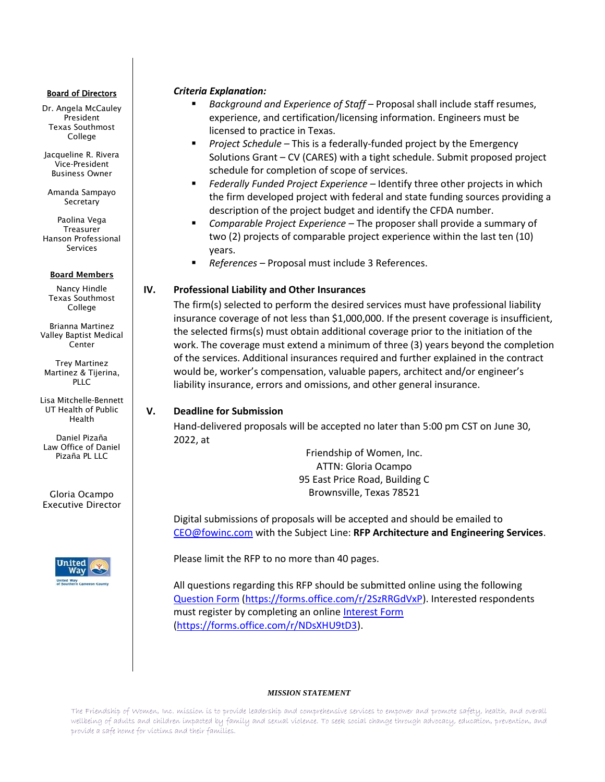### Board of Directors

Dr. Angela McCauley President Texas Southmost College

Jacqueline R. Rivera Vice-President Business Owner

Amanda Sampayo Secretary

Paolina Vega Treasurer Hanson Professional Services

## **Board Members**

Nancy Hindle Texas Southmost College

Brianna Martinez Valley Baptist Medical Center

Trey Martinez Martinez & Tijerina, PLLC

Lisa Mitchelle-Bennett UT Health of Public Health

Daniel Pizaña Law Office of Daniel Pizaña PL LLC

Gloria Ocampo Executive Director



## *Criteria Explanation:*

- *Background and Experience of Staff* Proposal shall include staff resumes, experience, and certification/licensing information. Engineers must be licensed to practice in Texas.
- *Project Schedule* This is a federally-funded project by the Emergency Solutions Grant – CV (CARES) with a tight schedule. Submit proposed project schedule for completion of scope of services.
- Federally Funded Project Experience Identify three other projects in which the firm developed project with federal and state funding sources providing a description of the project budget and identify the CFDA number.
- *Comparable Project Experience* The proposer shall provide a summary of two (2) projects of comparable project experience within the last ten (10) years.
- *References* Proposal must include 3 References.

# **IV. Professional Liability and Other Insurances**

The firm(s) selected to perform the desired services must have professional liability insurance coverage of not less than \$1,000,000. If the present coverage is insufficient, the selected firms(s) must obtain additional coverage prior to the initiation of the work. The coverage must extend a minimum of three (3) years beyond the completion of the services. Additional insurances required and further explained in the contract would be, worker's compensation, valuable papers, architect and/or engineer's liability insurance, errors and omissions, and other general insurance.

# **V. Deadline for Submission**

Hand-delivered proposals will be accepted no later than 5:00 pm CST on June 30, 2022, at

> Friendship of Women, Inc. ATTN: Gloria Ocampo 95 East Price Road, Building C Brownsville, Texas 78521

Digital submissions of proposals will be accepted and should be emailed to [CEO@fowinc.com](mailto:CEO@fowinc.com) with the Subject Line: **RFP Architecture and Engineering Services**.

Please limit the RFP to no more than 40 pages.

All questions regarding this RFP should be submitted online using the following [Question Form](https://forms.office.com/r/2SzRRGdVxP) [\(https://forms.office.com/r/2SzRRGdVxP\)](https://forms.office.com/r/2SzRRGdVxP). Interested respondents must register by completing an online [Interest Form](https://forms.office.com/r/NDsXHU9tD3) [\(https://forms.office.com/r/NDsXHU9tD3\)](https://forms.office.com/r/NDsXHU9tD3).

### *MISSION STATEMENT*